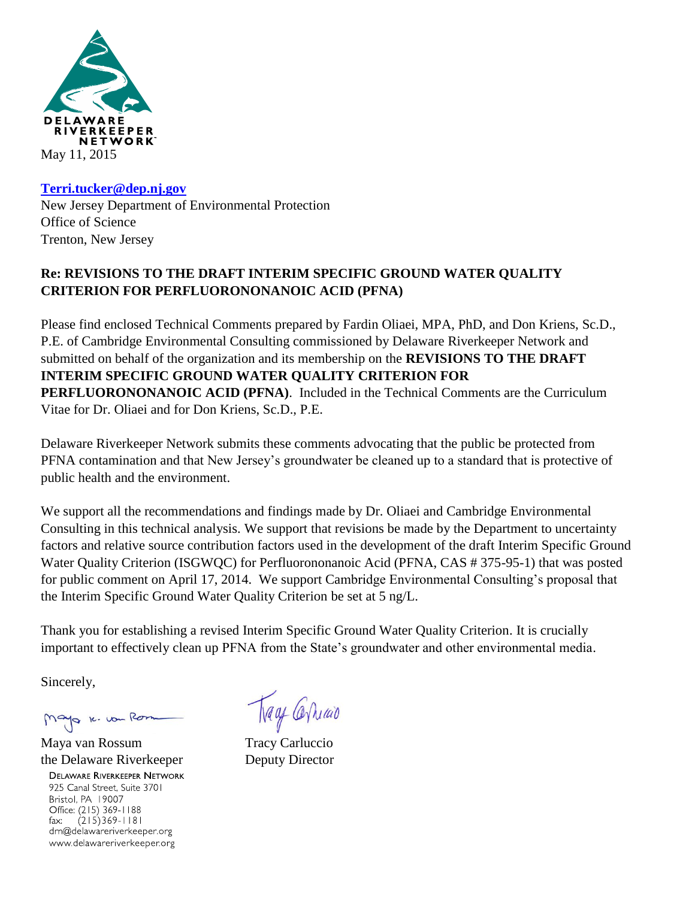

## **[Terri.tucker@dep.nj.gov](mailto:Terri.tucker@dep.nj.gov)** New Jersey Department of Environmental Protection Office of Science Trenton, New Jersey

## **Re: REVISIONS TO THE DRAFT INTERIM SPECIFIC GROUND WATER QUALITY CRITERION FOR PERFLUORONONANOIC ACID (PFNA)**

Please find enclosed Technical Comments prepared by Fardin Oliaei, MPA, PhD, and Don Kriens, Sc.D., P.E. of Cambridge Environmental Consulting commissioned by Delaware Riverkeeper Network and submitted on behalf of the organization and its membership on the **REVISIONS TO THE DRAFT INTERIM SPECIFIC GROUND WATER QUALITY CRITERION FOR PERFLUORONONANOIC ACID (PFNA)**. Included in the Technical Comments are the Curriculum Vitae for Dr. Oliaei and for Don Kriens, Sc.D., P.E.

Delaware Riverkeeper Network submits these comments advocating that the public be protected from PFNA contamination and that New Jersey's groundwater be cleaned up to a standard that is protective of public health and the environment.

We support all the recommendations and findings made by Dr. Oliaei and Cambridge Environmental Consulting in this technical analysis. We support that revisions be made by the Department to uncertainty factors and relative source contribution factors used in the development of the draft Interim Specific Ground Water Quality Criterion (ISGWQC) for Perfluorononanoic Acid (PFNA, CAS # 375-95-1) that was posted for public comment on April 17, 2014. We support Cambridge Environmental Consulting's proposal that the Interim Specific Ground Water Quality Criterion be set at 5 ng/L.

Thank you for establishing a revised Interim Specific Ground Water Quality Criterion. It is crucially important to effectively clean up PFNA from the State's groundwater and other environmental media.

Sincerely,

1c. von Re

Maya van Rossum Tracy Carluccio the Delaware Riverkeeper Deputy Director**DELAWARE RIVERKEEPER NETWORK** 

925 Canal Street, Suite 3701 Bristol, PA 19007 Office: (215) 369-1188  $(215)369 - 1181$ fax: drn@delawareriverkeeper.org www.delawareriverkeeper.org

Tracy Carriago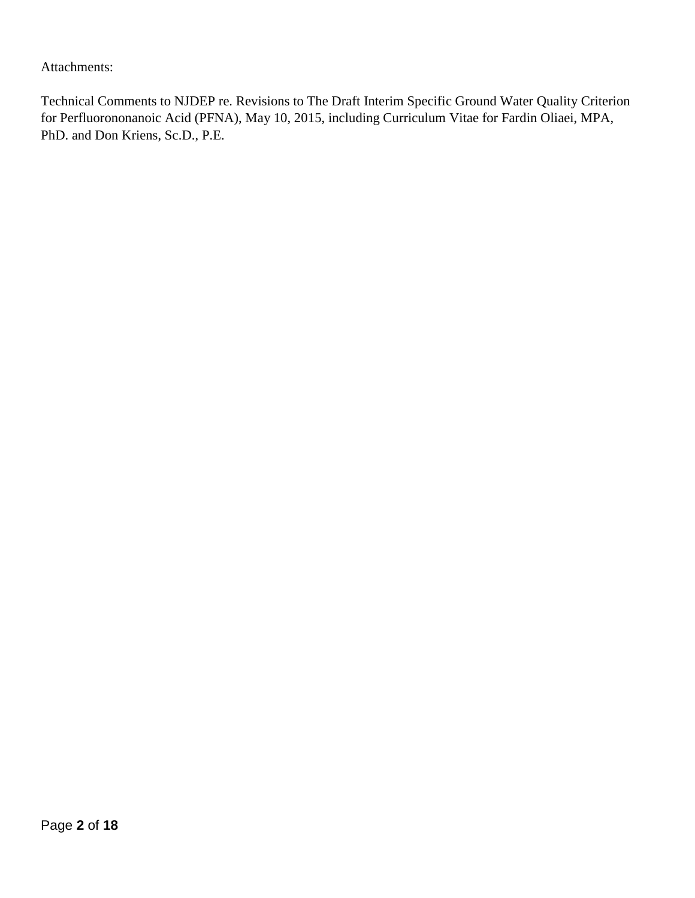Attachments:

Technical Comments to NJDEP re. Revisions to The Draft Interim Specific Ground Water Quality Criterion for Perfluorononanoic Acid (PFNA), May 10, 2015, including Curriculum Vitae for Fardin Oliaei, MPA, PhD. and Don Kriens, Sc.D., P.E.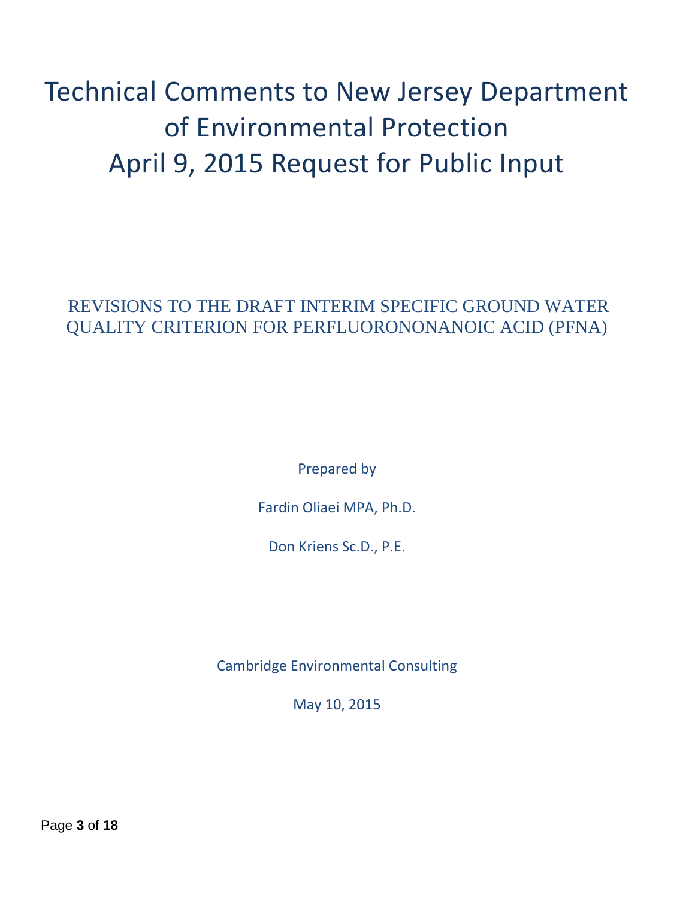# Technical Comments to New Jersey Department of Environmental Protection April 9, 2015 Request for Public Input

## REVISIONS TO THE DRAFT INTERIM SPECIFIC GROUND WATER QUALITY CRITERION FOR PERFLUORONONANOIC ACID (PFNA)

Prepared by

Fardin Oliaei MPA, Ph.D.

Don Kriens Sc.D., P.E.

Cambridge Environmental Consulting

May 10, 2015

Page **3** of **18**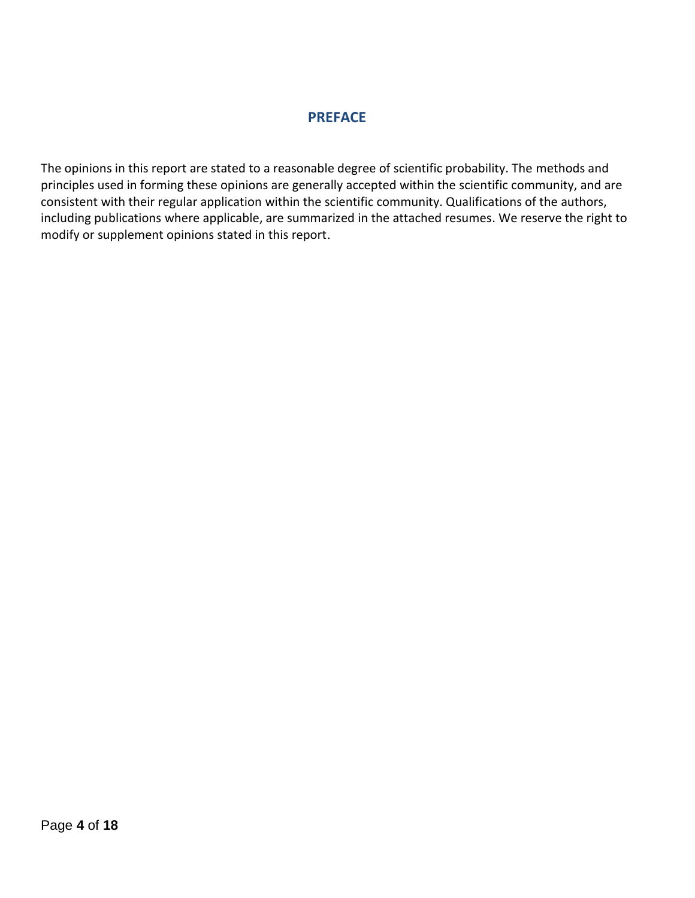## **PREFACE**

The opinions in this report are stated to a reasonable degree of scientific probability. The methods and principles used in forming these opinions are generally accepted within the scientific community, and are consistent with their regular application within the scientific community. Qualifications of the authors, including publications where applicable, are summarized in the attached resumes. We reserve the right to modify or supplement opinions stated in this report.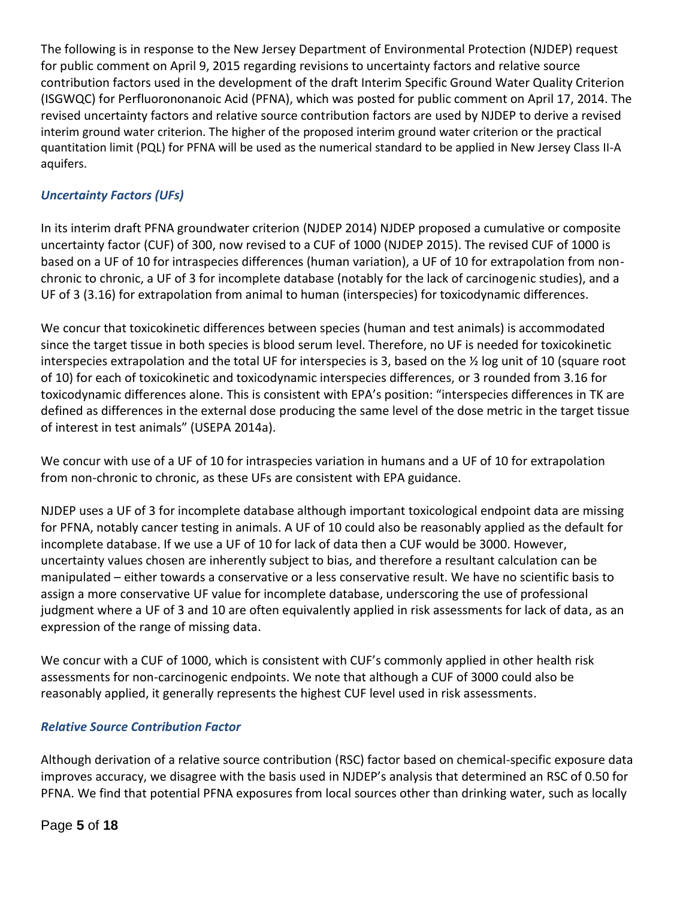The following is in response to the New Jersey Department of Environmental Protection (NJDEP) request for public comment on April 9, 2015 regarding revisions to uncertainty factors and relative source contribution factors used in the development of the draft Interim Specific Ground Water Quality Criterion (ISGWQC) for Perfluorononanoic Acid (PFNA), which was posted for public comment on April 17, 2014. The revised uncertainty factors and relative source contribution factors are used by NJDEP to derive a revised interim ground water criterion. The higher of the proposed interim ground water criterion or the practical quantitation limit (PQL) for PFNA will be used as the numerical standard to be applied in New Jersey Class II-A aquifers.

## *Uncertainty Factors (UFs)*

In its interim draft PFNA groundwater criterion (NJDEP 2014) NJDEP proposed a cumulative or composite uncertainty factor (CUF) of 300, now revised to a CUF of 1000 (NJDEP 2015). The revised CUF of 1000 is based on a UF of 10 for intraspecies differences (human variation), a UF of 10 for extrapolation from nonchronic to chronic, a UF of 3 for incomplete database (notably for the lack of carcinogenic studies), and a UF of 3 (3.16) for extrapolation from animal to human (interspecies) for toxicodynamic differences.

We concur that toxicokinetic differences between species (human and test animals) is accommodated since the target tissue in both species is blood serum level. Therefore, no UF is needed for toxicokinetic interspecies extrapolation and the total UF for interspecies is 3, based on the ½ log unit of 10 (square root of 10) for each of toxicokinetic and toxicodynamic interspecies differences, or 3 rounded from 3.16 for toxicodynamic differences alone. This is consistent with EPA's position: "interspecies differences in TK are defined as differences in the external dose producing the same level of the dose metric in the target tissue of interest in test animals" (USEPA 2014a).

We concur with use of a UF of 10 for intraspecies variation in humans and a UF of 10 for extrapolation from non-chronic to chronic, as these UFs are consistent with EPA guidance.

NJDEP uses a UF of 3 for incomplete database although important toxicological endpoint data are missing for PFNA, notably cancer testing in animals. A UF of 10 could also be reasonably applied as the default for incomplete database. If we use a UF of 10 for lack of data then a CUF would be 3000. However, uncertainty values chosen are inherently subject to bias, and therefore a resultant calculation can be manipulated – either towards a conservative or a less conservative result. We have no scientific basis to assign a more conservative UF value for incomplete database, underscoring the use of professional judgment where a UF of 3 and 10 are often equivalently applied in risk assessments for lack of data, as an expression of the range of missing data.

We concur with a CUF of 1000, which is consistent with CUF's commonly applied in other health risk assessments for non-carcinogenic endpoints. We note that although a CUF of 3000 could also be reasonably applied, it generally represents the highest CUF level used in risk assessments.

## *Relative Source Contribution Factor*

Although derivation of a relative source contribution (RSC) factor based on chemical-specific exposure data improves accuracy, we disagree with the basis used in NJDEP's analysis that determined an RSC of 0.50 for PFNA. We find that potential PFNA exposures from local sources other than drinking water, such as locally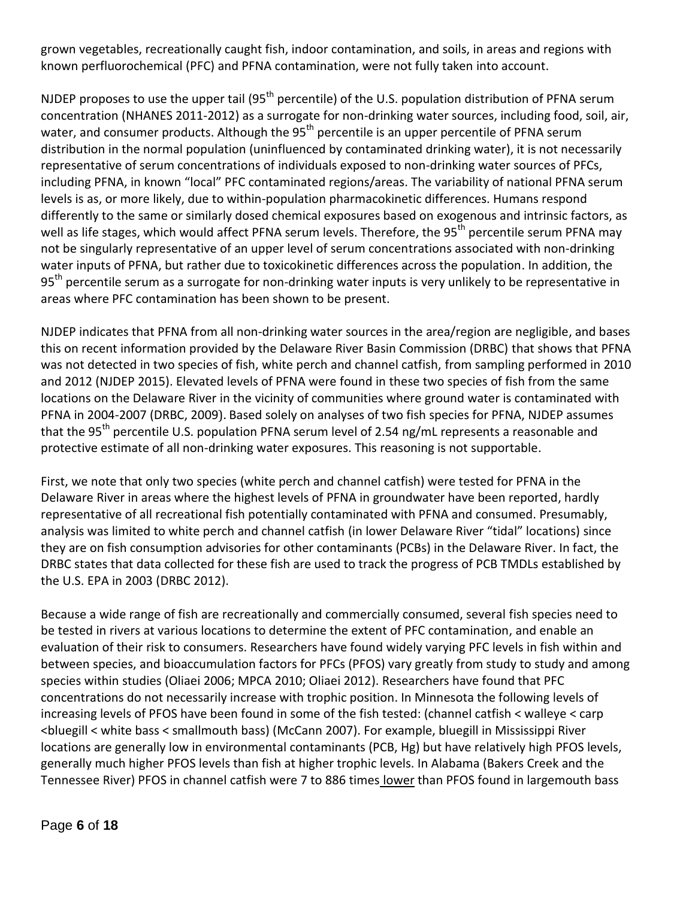grown vegetables, recreationally caught fish, indoor contamination, and soils, in areas and regions with known perfluorochemical (PFC) and PFNA contamination, were not fully taken into account.

NJDEP proposes to use the upper tail (95<sup>th</sup> percentile) of the U.S. population distribution of PFNA serum concentration (NHANES 2011-2012) as a surrogate for non-drinking water sources, including food, soil, air, water, and consumer products. Although the 95<sup>th</sup> percentile is an upper percentile of PFNA serum distribution in the normal population (uninfluenced by contaminated drinking water), it is not necessarily representative of serum concentrations of individuals exposed to non-drinking water sources of PFCs, including PFNA, in known "local" PFC contaminated regions/areas. The variability of national PFNA serum levels is as, or more likely, due to within-population pharmacokinetic differences. Humans respond differently to the same or similarly dosed chemical exposures based on exogenous and intrinsic factors, as well as life stages, which would affect PFNA serum levels. Therefore, the 95<sup>th</sup> percentile serum PFNA may not be singularly representative of an upper level of serum concentrations associated with non-drinking water inputs of PFNA, but rather due to toxicokinetic differences across the population. In addition, the 95<sup>th</sup> percentile serum as a surrogate for non-drinking water inputs is very unlikely to be representative in areas where PFC contamination has been shown to be present.

NJDEP indicates that PFNA from all non-drinking water sources in the area/region are negligible, and bases this on recent information provided by the Delaware River Basin Commission (DRBC) that shows that PFNA was not detected in two species of fish, white perch and channel catfish, from sampling performed in 2010 and 2012 (NJDEP 2015). Elevated levels of PFNA were found in these two species of fish from the same locations on the Delaware River in the vicinity of communities where ground water is contaminated with PFNA in 2004-2007 (DRBC, 2009). Based solely on analyses of two fish species for PFNA, NJDEP assumes that the 95<sup>th</sup> percentile U.S. population PFNA serum level of 2.54 ng/mL represents a reasonable and protective estimate of all non-drinking water exposures. This reasoning is not supportable.

First, we note that only two species (white perch and channel catfish) were tested for PFNA in the Delaware River in areas where the highest levels of PFNA in groundwater have been reported, hardly representative of all recreational fish potentially contaminated with PFNA and consumed. Presumably, analysis was limited to white perch and channel catfish (in lower Delaware River "tidal" locations) since they are on fish consumption advisories for other contaminants (PCBs) in the Delaware River. In fact, the DRBC states that data collected for these fish are used to track the progress of PCB TMDLs established by the U.S. EPA in 2003 (DRBC 2012).

Because a wide range of fish are recreationally and commercially consumed, several fish species need to be tested in rivers at various locations to determine the extent of PFC contamination, and enable an evaluation of their risk to consumers. Researchers have found widely varying PFC levels in fish within and between species, and bioaccumulation factors for PFCs (PFOS) vary greatly from study to study and among species within studies (Oliaei 2006; MPCA 2010; Oliaei 2012). Researchers have found that PFC concentrations do not necessarily increase with trophic position. In Minnesota the following levels of increasing levels of PFOS have been found in some of the fish tested: (channel catfish < walleye < carp <bluegill < white bass < smallmouth bass) (McCann 2007). For example, bluegill in Mississippi River locations are generally low in environmental contaminants (PCB, Hg) but have relatively high PFOS levels, generally much higher PFOS levels than fish at higher trophic levels. In Alabama (Bakers Creek and the Tennessee River) PFOS in channel catfish were 7 to 886 times lower than PFOS found in largemouth bass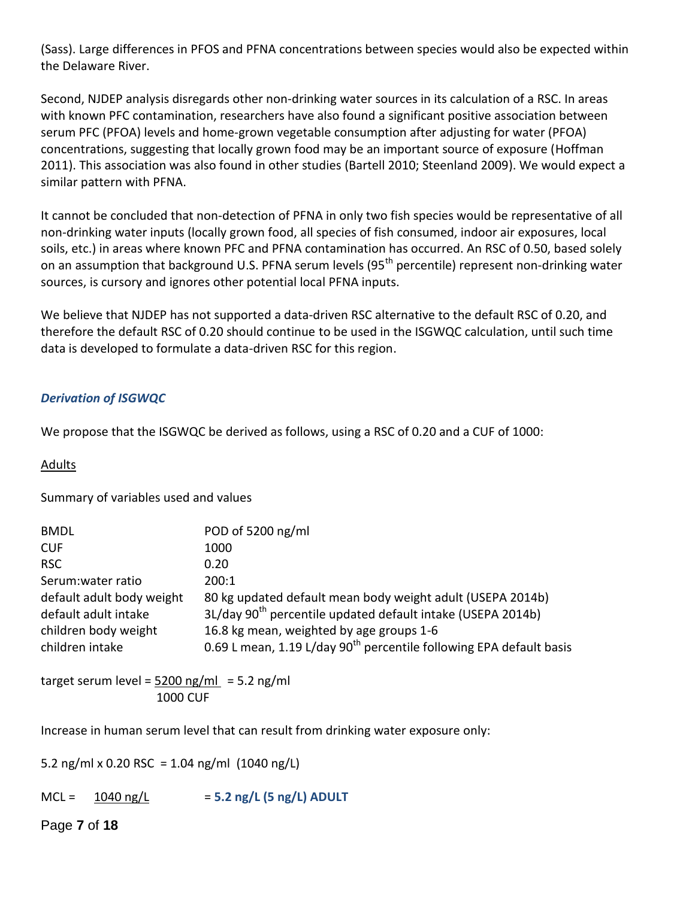(Sass). Large differences in PFOS and PFNA concentrations between species would also be expected within the Delaware River.

Second, NJDEP analysis disregards other non-drinking water sources in its calculation of a RSC. In areas with known PFC contamination, researchers have also found a significant positive association between serum PFC (PFOA) levels and home-grown vegetable consumption after adjusting for water (PFOA) concentrations, suggesting that locally grown food may be an important source of exposure (Hoffman 2011). This association was also found in other studies (Bartell 2010; Steenland 2009). We would expect a similar pattern with PFNA.

It cannot be concluded that non-detection of PFNA in only two fish species would be representative of all non-drinking water inputs (locally grown food, all species of fish consumed, indoor air exposures, local soils, etc.) in areas where known PFC and PFNA contamination has occurred. An RSC of 0.50, based solely on an assumption that background U.S. PFNA serum levels (95<sup>th</sup> percentile) represent non-drinking water sources, is cursory and ignores other potential local PFNA inputs.

We believe that NJDEP has not supported a data-driven RSC alternative to the default RSC of 0.20, and therefore the default RSC of 0.20 should continue to be used in the ISGWQC calculation, until such time data is developed to formulate a data-driven RSC for this region.

## *Derivation of ISGWQC*

We propose that the ISGWQC be derived as follows, using a RSC of 0.20 and a CUF of 1000:

### **Adults**

Summary of variables used and values

| <b>BMDL</b>                                                                                  | POD of 5200 ng/ml                                                                                                                                                                                                                                                    |
|----------------------------------------------------------------------------------------------|----------------------------------------------------------------------------------------------------------------------------------------------------------------------------------------------------------------------------------------------------------------------|
| <b>CUF</b>                                                                                   | 1000                                                                                                                                                                                                                                                                 |
| <b>RSC</b>                                                                                   | 0.20                                                                                                                                                                                                                                                                 |
| Serum: water ratio                                                                           | 200:1                                                                                                                                                                                                                                                                |
| default adult body weight<br>default adult intake<br>children body weight<br>children intake | 80 kg updated default mean body weight adult (USEPA 2014b)<br>3L/day 90 <sup>th</sup> percentile updated default intake (USEPA 2014b)<br>16.8 kg mean, weighted by age groups 1-6<br>0.69 L mean, 1.19 L/day 90 <sup>th</sup> percentile following EPA default basis |

target serum level =  $5200$  ng/ml =  $5.2$  ng/ml 1000 CUF

Increase in human serum level that can result from drinking water exposure only:

5.2 ng/ml x 0.20 RSC = 1.04 ng/ml  $(1040 \text{ ng/L})$ 

MCL = 1040 ng/L = **5.2 ng/L (5 ng/L) ADULT**

Page **7** of **18**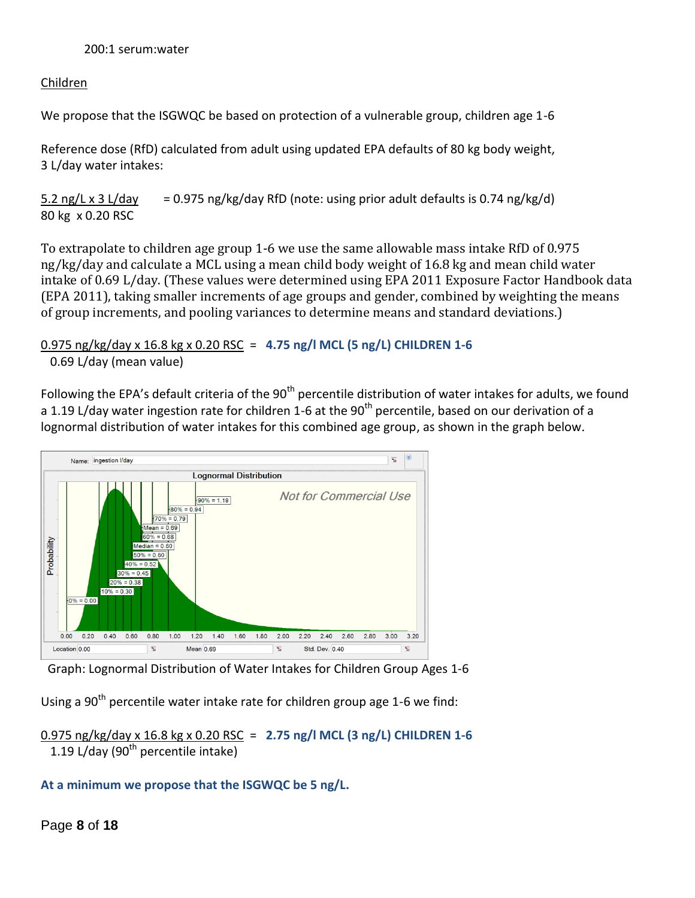## 200:1 serum:water

## Children

We propose that the ISGWQC be based on protection of a vulnerable group, children age 1-6

Reference dose (RfD) calculated from adult using updated EPA defaults of 80 kg body weight, 3 L/day water intakes:

 $5.2$  ng/L x 3 L/day = 0.975 ng/kg/day RfD (note: using prior adult defaults is 0.74 ng/kg/d) 80 kg x 0.20 RSC

To extrapolate to children age group 1-6 we use the same allowable mass intake RfD of 0.975 ng/kg/day and calculate a MCL using a mean child body weight of 16.8 kg and mean child water intake of 0.69 L/day. (These values were determined using EPA 2011 Exposure Factor Handbook data (EPA 2011), taking smaller increments of age groups and gender, combined by weighting the means of group increments, and pooling variances to determine means and standard deviations.)

## 0.975 ng/kg/day x 16.8 kg x 0.20 RSC = **4.75 ng/l MCL (5 ng/L) CHILDREN 1-6** 0.69 L/day (mean value)

Following the EPA's default criteria of the 90<sup>th</sup> percentile distribution of water intakes for adults, we found a 1.19 L/day water ingestion rate for children 1-6 at the 90<sup>th</sup> percentile, based on our derivation of a lognormal distribution of water intakes for this combined age group, as shown in the graph below.



Graph: Lognormal Distribution of Water Intakes for Children Group Ages 1-6

Using a  $90<sup>th</sup>$  percentile water intake rate for children group age 1-6 we find:

0.975 ng/kg/day x 16.8 kg x 0.20 RSC = **2.75 ng/l MCL (3 ng/L) CHILDREN 1-6** 1.19 L/day (90<sup>th</sup> percentile intake)

## **At a minimum we propose that the ISGWQC be 5 ng/L.**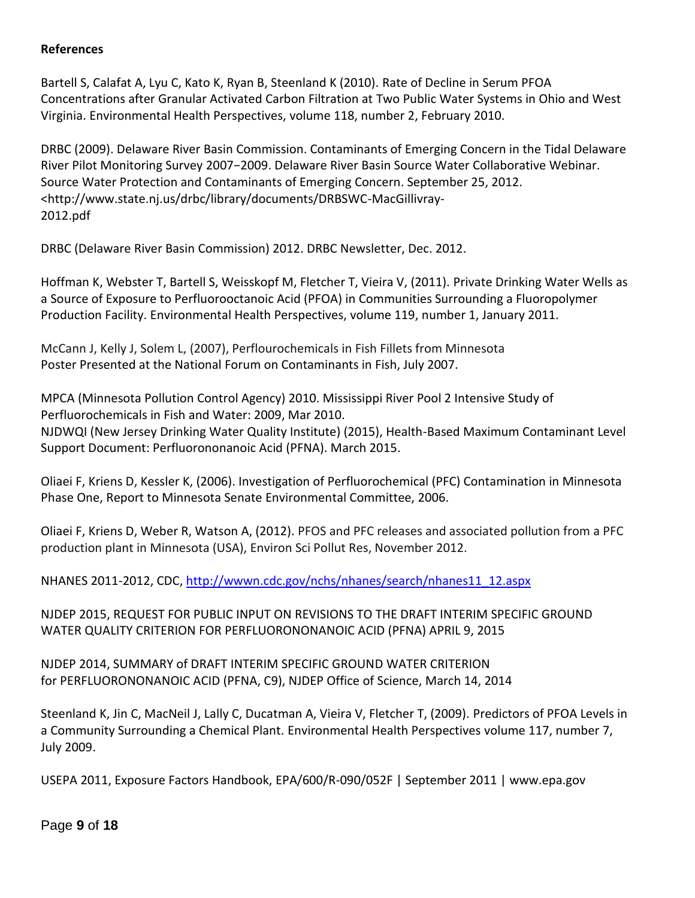## **References**

Bartell S, Calafat A, Lyu C, Kato K, Ryan B, Steenland K (2010). Rate of Decline in Serum PFOA Concentrations after Granular Activated Carbon Filtration at Two Public Water Systems in Ohio and West Virginia. Environmental Health Perspectives, volume 118, number 2, February 2010.

DRBC (2009). Delaware River Basin Commission. Contaminants of Emerging Concern in the Tidal Delaware River Pilot Monitoring Survey 2007−2009. Delaware River Basin Source Water Collaborative Webinar. Source Water Protection and Contaminants of Emerging Concern. September 25, 2012. <http://www.state.nj.us/drbc/library/documents/DRBSWC-MacGillivray-2012.pdf

DRBC (Delaware River Basin Commission) 2012. DRBC Newsletter, Dec. 2012.

Hoffman K, Webster T, Bartell S, Weisskopf M, Fletcher T, Vieira V, (2011). Private Drinking Water Wells as a Source of Exposure to Perfluorooctanoic Acid (PFOA) in Communities Surrounding a Fluoropolymer Production Facility. Environmental Health Perspectives, volume 119, number 1, January 2011.

McCann J, Kelly J, Solem L, (2007), Perflourochemicals in Fish Fillets from Minnesota Poster Presented at the National Forum on Contaminants in Fish, July 2007.

MPCA (Minnesota Pollution Control Agency) 2010. Mississippi River Pool 2 Intensive Study of Perfluorochemicals in Fish and Water: 2009, Mar 2010. NJDWQI (New Jersey Drinking Water Quality Institute) (2015), Health-Based Maximum Contaminant Level Support Document: Perfluorononanoic Acid (PFNA). March 2015.

Oliaei F, Kriens D, Kessler K, (2006). Investigation of Perfluorochemical (PFC) Contamination in Minnesota Phase One, Report to Minnesota Senate Environmental Committee, 2006.

Oliaei F, Kriens D, Weber R, Watson A, (2012). PFOS and PFC releases and associated pollution from a PFC production plant in Minnesota (USA), Environ Sci Pollut Res, November 2012.

NHANES 2011-2012, CDC, [http://wwwn.cdc.gov/nchs/nhanes/search/nhanes11\\_12.aspx](http://wwwn.cdc.gov/nchs/nhanes/search/nhanes11_12.aspx)

NJDEP 2015, REQUEST FOR PUBLIC INPUT ON REVISIONS TO THE DRAFT INTERIM SPECIFIC GROUND WATER QUALITY CRITERION FOR PERFLUORONONANOIC ACID (PFNA) APRIL 9, 2015

NJDEP 2014, SUMMARY of DRAFT INTERIM SPECIFIC GROUND WATER CRITERION for PERFLUORONONANOIC ACID (PFNA, C9), NJDEP Office of Science, March 14, 2014

Steenland K, Jin C, MacNeil J, Lally C, Ducatman A, Vieira V, Fletcher T, (2009). Predictors of PFOA Levels in a Community Surrounding a Chemical Plant. Environmental Health Perspectives volume 117, number 7, July 2009.

USEPA 2011, Exposure Factors Handbook, EPA/600/R-090/052F | September 2011 | www.epa.gov

Page **9** of **18**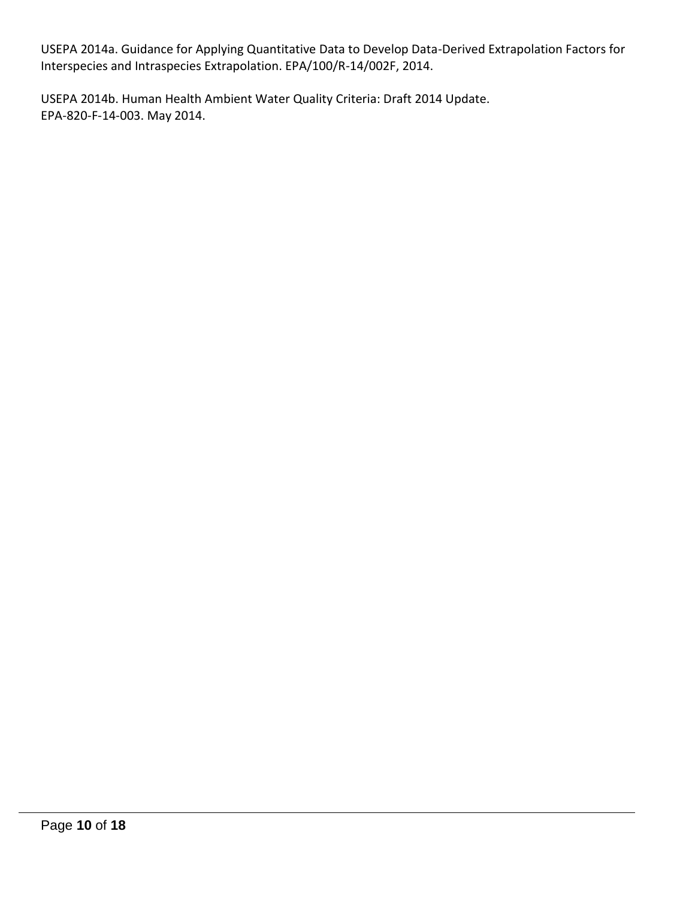USEPA 2014a. Guidance for Applying Quantitative Data to Develop Data-Derived Extrapolation Factors for Interspecies and Intraspecies Extrapolation. EPA/100/R-14/002F, 2014.

USEPA 2014b. Human Health Ambient Water Quality Criteria: Draft 2014 Update. EPA-820-F-14-003. May 2014.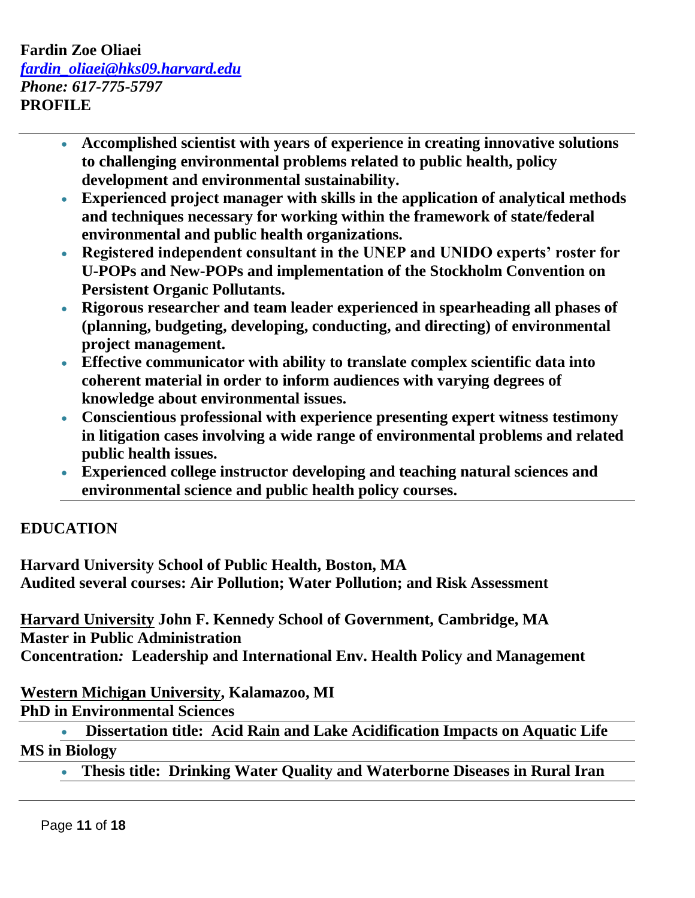## **Fardin Zoe Oliaei** *[fardin\\_oliaei@hks09.harvard.edu](mailto:fardin_oliaei@hks09.harvard.edu) Phone: 617-775-5797* **PROFILE**

- **Accomplished scientist with years of experience in creating innovative solutions to challenging environmental problems related to public health, policy development and environmental sustainability.**
- **Experienced project manager with skills in the application of analytical methods and techniques necessary for working within the framework of state/federal environmental and public health organizations.**
- **Registered independent consultant in the UNEP and UNIDO experts' roster for U-POPs and New-POPs and implementation of the Stockholm Convention on Persistent Organic Pollutants.**
- **Rigorous researcher and team leader experienced in spearheading all phases of (planning, budgeting, developing, conducting, and directing) of environmental project management.**
- **Effective communicator with ability to translate complex scientific data into coherent material in order to inform audiences with varying degrees of knowledge about environmental issues.**
- **Conscientious professional with experience presenting expert witness testimony in litigation cases involving a wide range of environmental problems and related public health issues.**
- **Experienced college instructor developing and teaching natural sciences and environmental science and public health policy courses.**

## **EDUCATION**

**Harvard University School of Public Health, Boston, MA Audited several courses: Air Pollution; Water Pollution; and Risk Assessment** 

**Harvard University John F. Kennedy School of Government, Cambridge, MA Master in Public Administration Concentration***:* **Leadership and International Env. Health Policy and Management**

## **Western Michigan University, Kalamazoo, MI PhD in Environmental Sciences**

 **Dissertation title: Acid Rain and Lake Acidification Impacts on Aquatic Life MS in Biology** 

**Thesis title: Drinking Water Quality and Waterborne Diseases in Rural Iran**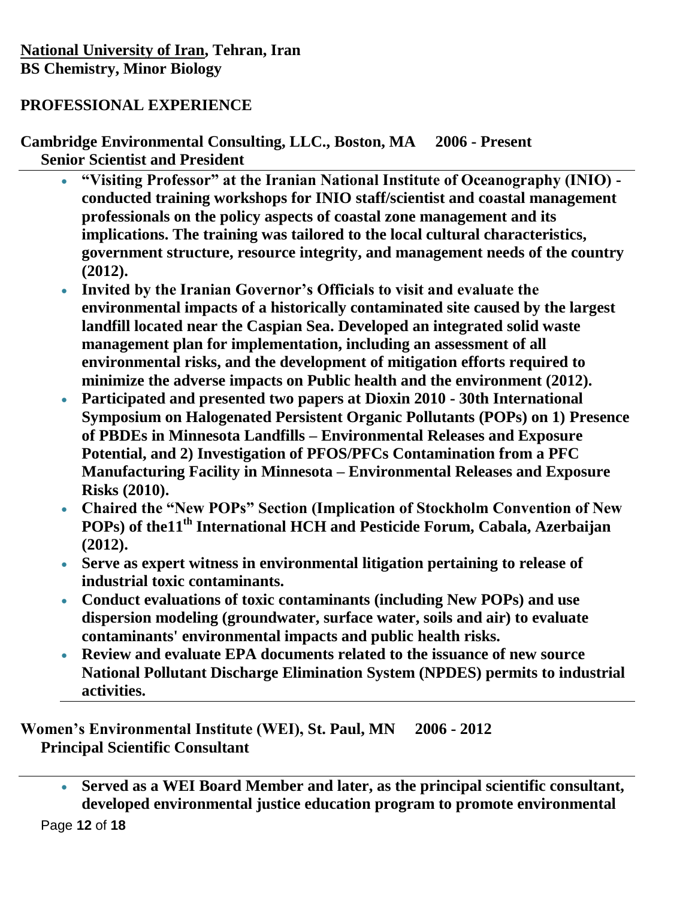## **PROFESSIONAL EXPERIENCE**

**Cambridge Environmental Consulting, LLC., Boston, MA 2006 - Present Senior Scientist and President** 

- **"Visiting Professor" at the Iranian National Institute of Oceanography (INIO) conducted training workshops for INIO staff/scientist and coastal management professionals on the policy aspects of coastal zone management and its implications. The training was tailored to the local cultural characteristics, government structure, resource integrity, and management needs of the country (2012).**
- **Invited by the Iranian Governor's Officials to visit and evaluate the environmental impacts of a historically contaminated site caused by the largest landfill located near the Caspian Sea. Developed an integrated solid waste management plan for implementation, including an assessment of all environmental risks, and the development of mitigation efforts required to minimize the adverse impacts on Public health and the environment (2012).**
- **Participated and presented two papers at Dioxin 2010 - 30th International Symposium on Halogenated Persistent Organic Pollutants (POPs) on 1) Presence of PBDEs in Minnesota Landfills – Environmental Releases and Exposure Potential, and 2) Investigation of PFOS/PFCs Contamination from a PFC Manufacturing Facility in Minnesota – Environmental Releases and Exposure Risks (2010).**
- **Chaired the "New POPs" Section (Implication of Stockholm Convention of New POPs) of the11th International HCH and Pesticide Forum, Cabala, Azerbaijan (2012).**
- **Serve as expert witness in environmental litigation pertaining to release of industrial toxic contaminants.**
- **Conduct evaluations of toxic contaminants (including New POPs) and use dispersion modeling (groundwater, surface water, soils and air) to evaluate contaminants' environmental impacts and public health risks.**
- **Review and evaluate EPA documents related to the issuance of new source National Pollutant Discharge Elimination System (NPDES) permits to industrial activities.**

**Women's Environmental Institute (WEI), St. Paul, MN 2006 - 2012 Principal Scientific Consultant** 

 **Served as a WEI Board Member and later, as the principal scientific consultant, developed environmental justice education program to promote environmental**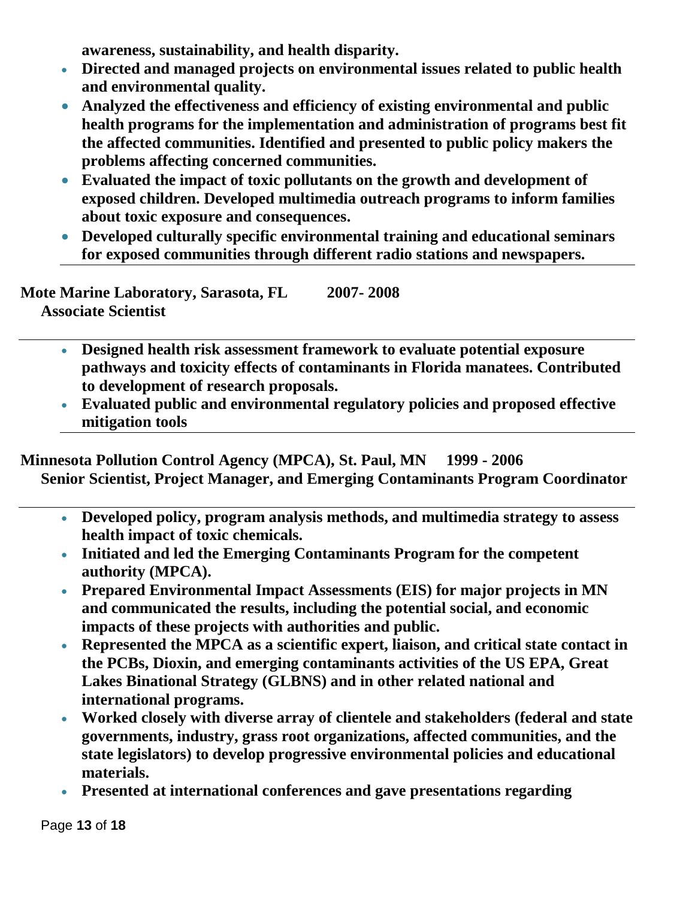**awareness, sustainability, and health disparity.**

- **Directed and managed projects on environmental issues related to public health and environmental quality.**
- **Analyzed the effectiveness and efficiency of existing environmental and public health programs for the implementation and administration of programs best fit the affected communities. Identified and presented to public policy makers the problems affecting concerned communities.**
- **Evaluated the impact of toxic pollutants on the growth and development of exposed children. Developed multimedia outreach programs to inform families about toxic exposure and consequences.**
- **Developed culturally specific environmental training and educational seminars for exposed communities through different radio stations and newspapers.**

**Mote Marine Laboratory, Sarasota, FL 2007- 2008 Associate Scientist** 

- **Designed health risk assessment framework to evaluate potential exposure pathways and toxicity effects of contaminants in Florida manatees. Contributed to development of research proposals.**
- **Evaluated public and environmental regulatory policies and proposed effective mitigation tools**

**Minnesota Pollution Control Agency (MPCA), St. Paul, MN 1999 - 2006 Senior Scientist, Project Manager, and Emerging Contaminants Program Coordinator** 

- **Developed policy, program analysis methods, and multimedia strategy to assess health impact of toxic chemicals.**
- **Initiated and led the Emerging Contaminants Program for the competent authority (MPCA).**
- **Prepared Environmental Impact Assessments (EIS) for major projects in MN and communicated the results, including the potential social, and economic impacts of these projects with authorities and public.**
- **Represented the MPCA as a scientific expert, liaison, and critical state contact in the PCBs, Dioxin, and emerging contaminants activities of the US EPA, Great Lakes Binational Strategy (GLBNS) and in other related national and international programs.**
- **Worked closely with diverse array of clientele and stakeholders (federal and state governments, industry, grass root organizations, affected communities, and the state legislators) to develop progressive environmental policies and educational materials.**
- **Presented at international conferences and gave presentations regarding**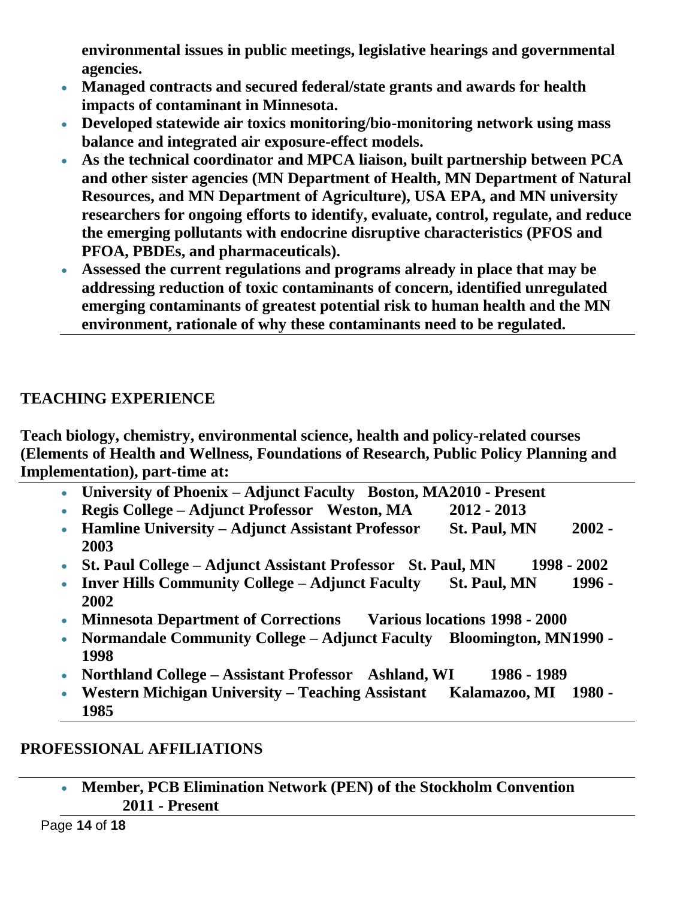**environmental issues in public meetings, legislative hearings and governmental agencies.**

- **Managed contracts and secured federal/state grants and awards for health impacts of contaminant in Minnesota.**
- **Developed statewide air toxics monitoring/bio-monitoring network using mass balance and integrated air exposure-effect models.**
- **As the technical coordinator and MPCA liaison, built partnership between PCA and other sister agencies (MN Department of Health, MN Department of Natural Resources, and MN Department of Agriculture), USA EPA, and MN university researchers for ongoing efforts to identify, evaluate, control, regulate, and reduce the emerging pollutants with endocrine disruptive characteristics (PFOS and PFOA, PBDEs, and pharmaceuticals).**
- **Assessed the current regulations and programs already in place that may be addressing reduction of toxic contaminants of concern, identified unregulated emerging contaminants of greatest potential risk to human health and the MN environment, rationale of why these contaminants need to be regulated.**

## **TEACHING EXPERIENCE**

**Teach biology, chemistry, environmental science, health and policy-related courses (Elements of Health and Wellness, Foundations of Research, Public Policy Planning and Implementation), part-time at:**

- **University of Phoenix – Adjunct Faculty Boston, MA2010 - Present**
- **Regis College – Adjunct Professor Weston, MA 2012 - 2013**
- **Hamline University – Adjunct Assistant Professor St. Paul, MN 2002 - 2003**
- **St. Paul College – Adjunct Assistant Professor St. Paul, MN 1998 - 2002**
- **Inver Hills Community College – Adjunct Faculty St. Paul, MN 1996 - 2002**
- **Minnesota Department of Corrections Various locations 1998 - 2000**
- **Normandale Community College – Adjunct Faculty Bloomington, MN1990 - 1998**
- **Northland College – Assistant Professor Ashland, WI 1986 - 1989**
- **Western Michigan University – Teaching Assistant Kalamazoo, MI 1980 - 1985**

## **PROFESSIONAL AFFILIATIONS**

 **Member, PCB Elimination Network (PEN) of the Stockholm Convention 2011 - Present**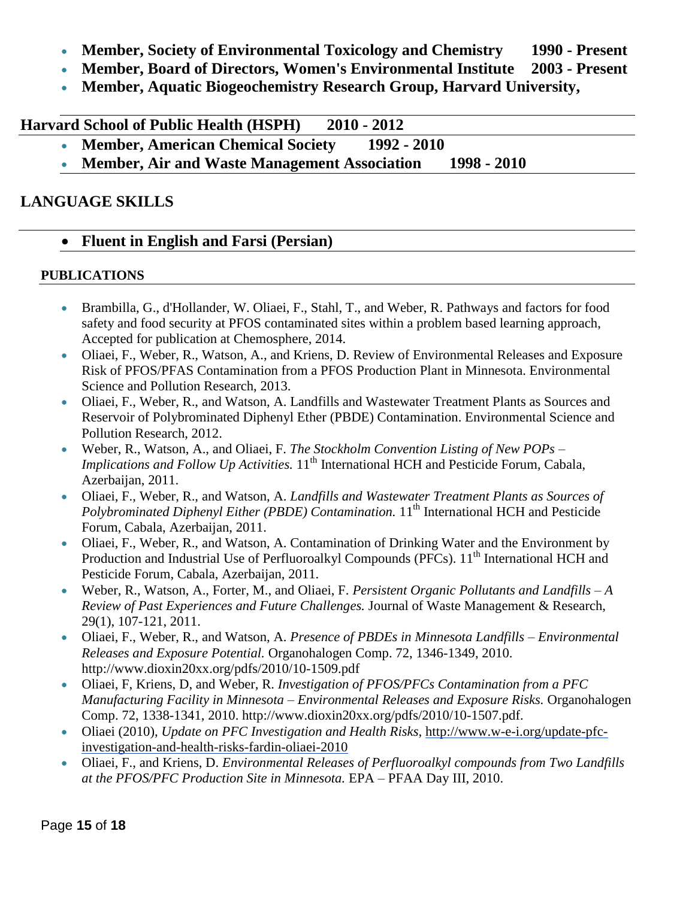- **Member, Society of Environmental Toxicology and Chemistry 1990 - Present**
- **Member, Board of Directors, Women's Environmental Institute 2003 - Present**
- **Member, Aquatic Biogeochemistry Research Group, Harvard University,**

**Harvard School of Public Health (HSPH) 2010 - 2012**

- **Member, American Chemical Society 1992 - 2010**
- **Member, Air and Waste Management Association 1998 - 2010**

## **LANGUAGE SKILLS**

## **Fluent in English and Farsi (Persian)**

## **PUBLICATIONS**

- Brambilla, G., d'Hollander, W. Oliaei, F., Stahl, T., and Weber, R. Pathways and factors for food safety and food security at PFOS contaminated sites within a problem based learning approach, Accepted for publication at Chemosphere, 2014.
- Oliaei, F., Weber, R., Watson, A., and Kriens, D. Review of Environmental Releases and Exposure Risk of PFOS/PFAS Contamination from a PFOS Production Plant in Minnesota. Environmental Science and Pollution Research, 2013.
- Oliaei, F., Weber, R., and Watson, A. Landfills and Wastewater Treatment Plants as Sources and Reservoir of Polybrominated Diphenyl Ether (PBDE) Contamination. Environmental Science and Pollution Research, 2012.
- Weber, R., Watson, A., and Oliaei, F. *The Stockholm Convention Listing of New POPs – Implications and Follow Up Activities.* 11<sup>th</sup> International HCH and Pesticide Forum, Cabala, Azerbaijan, 2011.
- Oliaei, F., Weber, R., and Watson, A. *Landfills and Wastewater Treatment Plants as Sources of Polybrominated Diphenyl Either (PBDE) Contamination.* 11<sup>th</sup> International HCH and Pesticide Forum, Cabala, Azerbaijan, 2011.
- Oliaei, F., Weber, R., and Watson, A. Contamination of Drinking Water and the Environment by Production and Industrial Use of Perfluoroalkyl Compounds (PFCs). 11<sup>th</sup> International HCH and Pesticide Forum, Cabala, Azerbaijan, 2011.
- Weber, R., Watson, A., Forter, M., and Oliaei, F. *Persistent Organic Pollutants and Landfills – A Review of Past Experiences and Future Challenges.* Journal of Waste Management & Research, 29(1), 107-121, 2011.
- Oliaei, F., Weber, R., and Watson, A. *Presence of PBDEs in Minnesota Landfills – Environmental Releases and Exposure Potential.* Organohalogen Comp. 72, 1346-1349, 2010. http://www.dioxin20xx.org/pdfs/2010/10-1509.pdf
- Oliaei, F, Kriens, D, and Weber, R. *Investigation of PFOS/PFCs Contamination from a PFC Manufacturing Facility in Minnesota – Environmental Releases and Exposure Risks.* Organohalogen Comp. 72, 1338-1341, 2010. http://www.dioxin20xx.org/pdfs/2010/10-1507.pdf.
- Oliaei (2010), *Update on PFC Investigation and Health Risks,* [http://www.w-e-i.org/update-pfc](http://www.w-e-i.org/update-pfc-investigation-and-health-risks-fardin-oliaei-2010)[investigation-and-health-risks-fardin-oliaei-2010](http://www.w-e-i.org/update-pfc-investigation-and-health-risks-fardin-oliaei-2010)
- Oliaei, F., and Kriens, D. *Environmental Releases of Perfluoroalkyl compounds from Two Landfills at the PFOS/PFC Production Site in Minnesota.* EPA – PFAA Day III, 2010.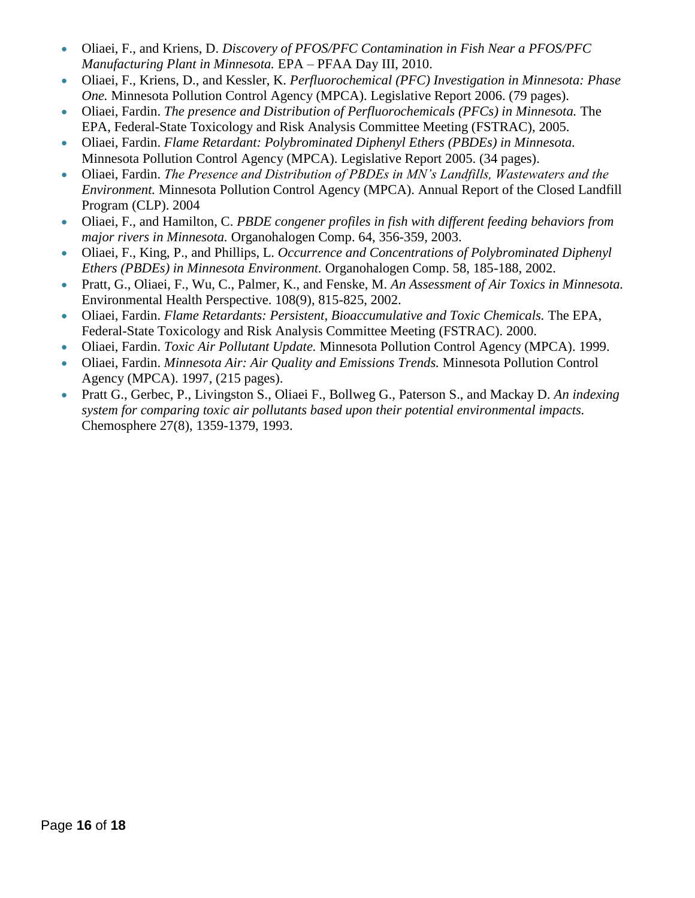- Oliaei, F., and Kriens, D. *Discovery of PFOS/PFC Contamination in Fish Near a PFOS/PFC Manufacturing Plant in Minnesota.* EPA – PFAA Day III, 2010.
- Oliaei, F., Kriens, D., and Kessler, K. *Perfluorochemical (PFC) Investigation in Minnesota: Phase One.* Minnesota Pollution Control Agency (MPCA). Legislative Report 2006. (79 pages).
- Oliaei, Fardin. *The presence and Distribution of Perfluorochemicals (PFCs) in Minnesota.* The EPA, Federal-State Toxicology and Risk Analysis Committee Meeting (FSTRAC), 2005.
- Oliaei, Fardin. *Flame Retardant: Polybrominated Diphenyl Ethers (PBDEs) in Minnesota.*  Minnesota Pollution Control Agency (MPCA). Legislative Report 2005. (34 pages).
- Oliaei, Fardin. *The Presence and Distribution of PBDEs in MN's Landfills, Wastewaters and the Environment.* Minnesota Pollution Control Agency (MPCA). Annual Report of the Closed Landfill Program (CLP). 2004
- Oliaei, F., and Hamilton, C. *PBDE congener profiles in fish with different feeding behaviors from major rivers in Minnesota.* Organohalogen Comp. 64, 356-359, 2003.
- Oliaei, F., King, P., and Phillips, L. *Occurrence and Concentrations of Polybrominated Diphenyl Ethers (PBDEs) in Minnesota Environment.* Organohalogen Comp. 58, 185-188, 2002.
- Pratt, G., Oliaei, F., Wu, C., Palmer, K., and Fenske, M. *An Assessment of Air Toxics in Minnesota.*  Environmental Health Perspective. 108(9), 815-825, 2002.
- Oliaei, Fardin. *Flame Retardants: Persistent, Bioaccumulative and Toxic Chemicals.* The EPA, Federal-State Toxicology and Risk Analysis Committee Meeting (FSTRAC). 2000.
- Oliaei, Fardin. *Toxic Air Pollutant Update.* Minnesota Pollution Control Agency (MPCA). 1999.
- Oliaei, Fardin. *Minnesota Air: Air Quality and Emissions Trends.* Minnesota Pollution Control Agency (MPCA). 1997, (215 pages).
- Pratt G., Gerbec, P., Livingston S., Oliaei F., Bollweg G., Paterson S., and Mackay D. *An indexing system for comparing toxic air pollutants based upon their potential environmental impacts.*  Chemosphere 27(8), 1359-1379, 1993.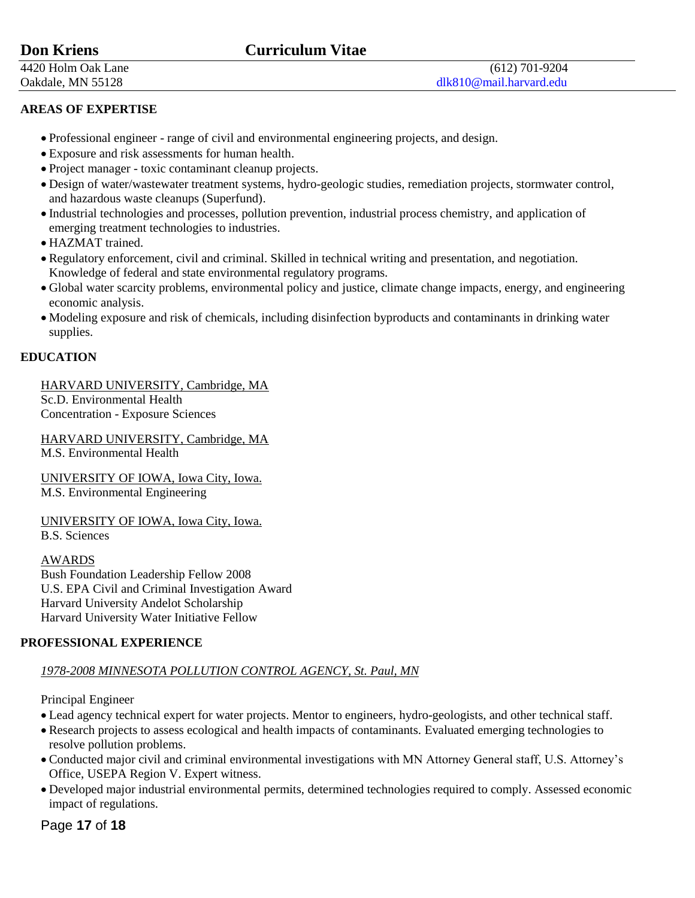4420 Holm Oak Lane (612) 701-9204

#### **AREAS OF EXPERTISE**

- Professional engineer range of civil and environmental engineering projects, and design.
- Exposure and risk assessments for human health.
- Project manager toxic contaminant cleanup projects.
- Design of water/wastewater treatment systems, hydro-geologic studies, remediation projects, stormwater control, and hazardous waste cleanups (Superfund).
- Industrial technologies and processes, pollution prevention, industrial process chemistry, and application of emerging treatment technologies to industries.
- HAZMAT trained.
- Regulatory enforcement, civil and criminal. Skilled in technical writing and presentation, and negotiation. Knowledge of federal and state environmental regulatory programs.
- Global water scarcity problems, environmental policy and justice, climate change impacts, energy, and engineering economic analysis.
- Modeling exposure and risk of chemicals, including disinfection byproducts and contaminants in drinking water supplies.

#### **EDUCATION**

## HARVARD UNIVERSITY, Cambridge, MA

Sc.D. Environmental Health Concentration - Exposure Sciences

HARVARD UNIVERSITY, Cambridge, MA M.S. Environmental Health

UNIVERSITY OF IOWA, Iowa City, Iowa. M.S. Environmental Engineering

UNIVERSITY OF IOWA, Iowa City, Iowa.

B.S. Sciences

AWARDS Bush Foundation Leadership Fellow 2008 U.S. EPA Civil and Criminal Investigation Award Harvard University Andelot Scholarship Harvard University Water Initiative Fellow

### **PROFESSIONAL EXPERIENCE**

### *1978-2008 MINNESOTA POLLUTION CONTROL AGENCY, St. Paul, MN*

Principal Engineer

- Lead agency technical expert for water projects. Mentor to engineers, hydro-geologists, and other technical staff.
- Research projects to assess ecological and health impacts of contaminants. Evaluated emerging technologies to resolve pollution problems.
- Conducted major civil and criminal environmental investigations with MN Attorney General staff, U.S. Attorney's Office, USEPA Region V. Expert witness.
- Developed major industrial environmental permits, determined technologies required to comply. Assessed economic impact of regulations.

Page **17** of **18**